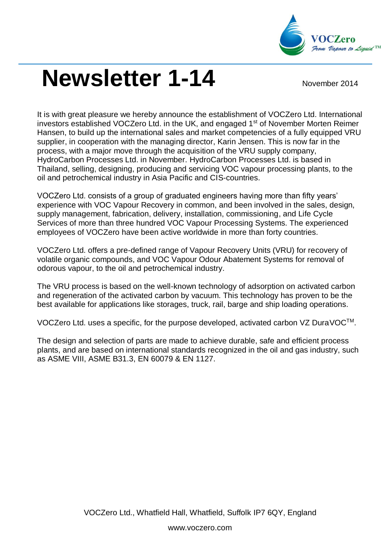

## **Newsletter 1-14** November 2014

It is with great pleasure we hereby announce the establishment of VOCZero Ltd. International investors established VOCZero Ltd. in the UK, and engaged 1<sup>st</sup> of November Morten Reimer Hansen, to build up the international sales and market competencies of a fully equipped VRU supplier, in cooperation with the managing director, Karin Jensen. This is now far in the process, with a major move through the acquisition of the VRU supply company, HydroCarbon Processes Ltd. in November. HydroCarbon Processes Ltd. is based in Thailand, selling, designing, producing and servicing VOC vapour processing plants, to the oil and petrochemical industry in Asia Pacific and CIS-countries.

VOCZero Ltd. consists of a group of graduated engineers having more than fifty years' experience with VOC Vapour Recovery in common, and been involved in the sales, design, supply management, fabrication, delivery, installation, commissioning, and Life Cycle Services of more than three hundred VOC Vapour Processing Systems. The experienced employees of VOCZero have been active worldwide in more than forty countries.

VOCZero Ltd. offers a pre-defined range of Vapour Recovery Units (VRU) for recovery of volatile organic compounds, and VOC Vapour Odour Abatement Systems for removal of odorous vapour, to the oil and petrochemical industry.

The VRU process is based on the well-known technology of adsorption on activated carbon and regeneration of the activated carbon by vacuum. This technology has proven to be the best available for applications like storages, truck, rail, barge and ship loading operations.

VOCZero Ltd. uses a specific, for the purpose developed, activated carbon VZ DuraVOCTM.

The design and selection of parts are made to achieve durable, safe and efficient process plants, and are based on international standards recognized in the oil and gas industry, such as ASME VIII, ASME B31.3, EN 60079 & EN 1127.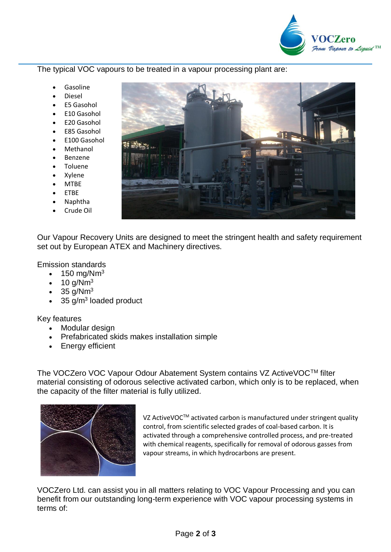

The typical VOC vapours to be treated in a vapour processing plant are:

- Gasoline
- Diesel
- E5 Gasohol
- E10 Gasohol
- E20 Gasohol
- E85 Gasohol
- E100 Gasohol
- Methanol
- Benzene
- Toluene
- Xylene
- **MTBF**
- **FTBF**
- Naphtha
- Crude Oil



Our Vapour Recovery Units are designed to meet the stringent health and safety requirement set out by European ATEX and Machinery directives.

Emission standards

- 150 mg/ $Nm<sup>3</sup>$
- $\bullet$  10 g/Nm<sup>3</sup>
- $35$  g/Nm<sup>3</sup>
- $\bullet$  35 g/m<sup>3</sup> loaded product

Key features

- Modular design
- Prefabricated skids makes installation simple
- Energy efficient

The VOCZero VOC Vapour Odour Abatement System contains VZ ActiveVOC™ filter material consisting of odorous selective activated carbon, which only is to be replaced, when the capacity of the filter material is fully utilized.



VZ ActiveVOC™ activated carbon is manufactured under stringent quality control, from scientific selected grades of coal-based carbon. It is activated through a comprehensive controlled process, and pre-treated with chemical reagents, specifically for removal of odorous gasses from vapour streams, in which hydrocarbons are present.

VOCZero Ltd. can assist you in all matters relating to VOC Vapour Processing and you can benefit from our outstanding long-term experience with VOC vapour processing systems in terms of: